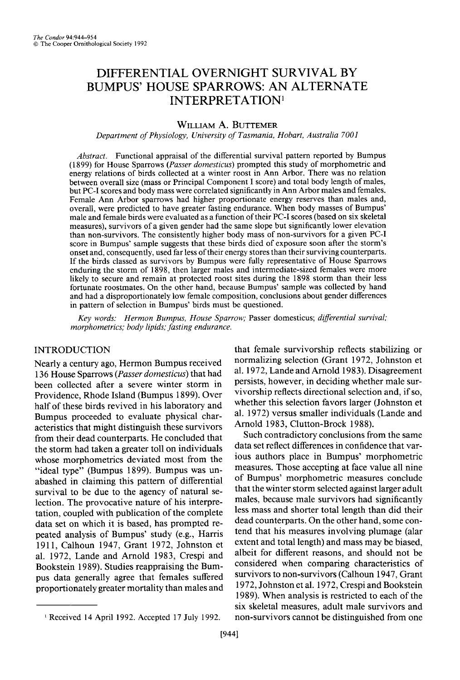# **DIFFERENTIAL OVERNIGHT SURVIVAL BY BUMPUS' HOUSE SPARROWS: AN ALTERNATE INTERPRETATION'**

## **WILLIAM A. BUTTEMER**

**Department of Physiology, University of Tasmania, Hobart, Australia 7001** 

**Abstract. Functional appraisal of the differential survival pattern reported by Bumpus (1899) for House Sparrows (Passer domesticus) prompted this study of morphometric and energy relations of birds collected at a winter roost in Ann Arbor. There was no relation between overall size (mass or Principal Component I score) and total body length of males, but PC-I scores and body mass were correlated significantly in Ann Arbor males and females. Female Ann Arbor sparrows had higher proportionate energy reserves than males and, overall, were predicted to have greater fasting endurance. When body masses of Bumpus' male and female birds were evaluated as a function of their PC-I scores (based on six skeletal measures), survivors of a given gender had the same slope but significantly lower elevation than non-survivors. The consistently higher body mass of non-survivors for a given PC-I score in Bumpus' sample suggests that these birds died of exposure soon after the storm's onset and, consequently, used far less of their energy stores than their surviving counterparts. If the birds classed as survivors by Bumpus were fully representative of House Sparrows enduring the storm of 1898, then larger males and intermediate-sized females were more**  likely to secure and remain at protected roost sites during the 1898 storm than their less **fortunate roostmates. On the other hand, because Bumpus' sample was collected by hand and had a disproportionately low female composition, conclusions about gender differences in pattern of selection in Bumpus' birds must be questioned.** 

**Key words: Hermon Bumpus, House Sparrow; Passer domesticus; differential survival; morphometrics; body lipids: fasting endurance.** 

# **INTRODUCTION**

**Nearly a century ago, Hermon Bumpus received 136 House Sparrows (Passer domesticus) that had been collected after a severe winter storm in Providence, Rhode Island (Bumpus 1899). Over half of these birds revived in his laboratory and Bumpus proceeded to evaluate physical characteristics that might distinguish these survivors from their dead counterparts. He concluded that the storm had taken a greater toll on individuals whose morphometrics deviated most from the "ideal type" (Bumpus 1899). Bumpus was unabashed in claiming this pattern of differential survival to be due to the agency of natural selection. The provocative nature of his interpretation, coupled with publication of the complete data set on which it is based, has prompted repeated analysis of Bumpus' study (e.g., Harris 1911, Calhoun 1947, Grant 1972, Johnston et al. 1972, Lande and Arnold 1983, Crespi and Bookstein 1989). Studies reappraising the Bumpus data generally agree that females suffered proportionately greater mortality than males and** 

**r9441** 

**that female survivorship reflects stabilizing or normalizing selection (Grant 1972, Johnston et al. 1972, Lande and Arnold 1983). Disagreement persists, however, in deciding whether male survivorship reflects directional selection and, if so, whether this selection favors larger (Johnston et al. 1972) versus smaller individuals (Lande and Arnold 1983, Clutton-Brock 1988).** 

**Such contradictory conclusions from the same data set reflect differences in confidence that various authors place in Bumpus' morphometric measures. Those accepting at face value all nine of Bumpus' morphometric measures conclude that the winter storm selected against larger adult males, because male survivors had significantly less mass and shorter total length than did their dead counterparts. On the other hand, some contend that his measures involving plumage (alar extent and total length) and mass may be biased, albeit for different reasons, and should not be considered when comparing characteristics of survivors to non-survivors (Calhoun 1947, Grant 1972, Johnston et al. 1972, Crespi and Bookstein 1989). When analysis is restricted to each of the six skeletal measures, adult male survivors and non-survivors cannot be distinguished from one** 

**I Received 14 April 1992. Accepted 17 July 1992.**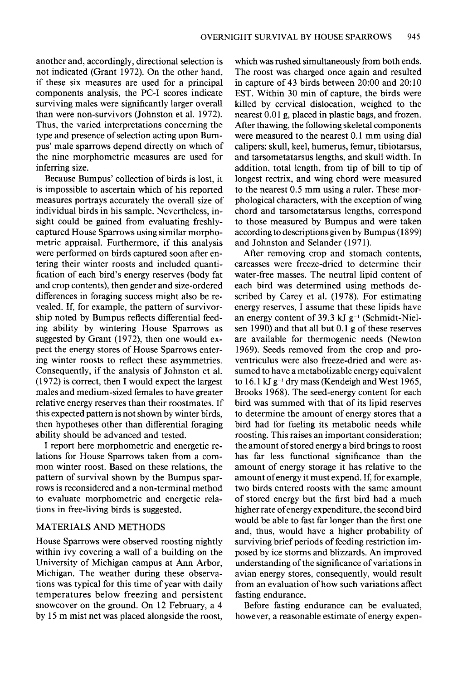**another and, accordingly, directional selection is not indicated (Grant 1972). On the other hand, if these six measures are used for a principal components analysis, the PC-I scores indicate surviving males were significantly larger overall than were non-survivors (Johnston et al. 1972). Thus, the varied interpretations concerning the type and presence of selection acting upon Bumpus' male sparrows depend directly on which of the nine morphometric measures are used for inferring size.** 

**Because Bumpus' collection of birds is lost, it is impossible to ascertain which of his reported measures portrays accurately the overall size of individual birds in his sample. Nevertheless, insight could be gained from evaluating freshlycaptured House Sparrows using similar morphometric appraisal. Furthermore, if this analysis were performed on birds captured soon after entering their winter roosts and included quantification of each bird's energy reserves (body fat and crop contents), then gender and size-ordered differences in foraging success might also be revealed. If, for example, the pattern of survivorship noted by Bumpus reflects differential feeding ability by wintering House Sparrows as**  suggested by Grant (1972), then one would ex**pect the energy stores of House Sparrows entering winter roosts to reflect these asymmetries. Consequently, if the analysis of Johnston et al. (1972) is correct, then I would expect the largest males and medium-sized females to have greater relative energy reserves than their roostmates. If this expected pattern is not shown by winter birds, then hypotheses other than differential foraging ability should be advanced and tested.** 

**I report here morphometric and energetic relations for House Sparrows taken from a common winter roost. Based on these relations, the pattern of survival shown by the Bumpus sparrows is reconsidered and a non-terminal method to evaluate morphometric and energetic relations in free-living birds is suggested.** 

## **MATERIALS AND METHODS**

**House Sparrows were observed roosting nightly within ivy covering a wall of a building on the University of Michigan campus at Ann Arbor, Michigan. The weather during these observations was typical for this time of year with daily temperatures below freezing and persistent snowcover on the ground. On 12 February, a 4 by 15 m mist net was placed alongside the roost,** 

**which was rushed simultaneously from both ends. The roost was charged once again and resulted in capture of 43 birds between 20:00 and 20: 10 EST. Within 30 min of capture, the birds were killed by cervical dislocation, weighed to the nearest 0.01 g, placed in plastic bags, and frozen. After thawing, the following skeletal components were measured to the nearest 0.1 mm using dial calipers: skull, keel, humerus, femur, tibiotarsus, and tarsometatarsus lengths, and skull width. In addition, total length, from tip of bill to tip of longest rectrix, and wing chord were measured to the nearest 0.5 mm using a ruler. These morphological characters, with the exception of wing chord and tarsometatarsus lengths, correspond to those measured by Bumpus and were taken according to descriptions given by Bumpus (1899) and Johnston and Selander (197 1).** 

**After removing crop and stomach contents, carcasses were freeze-dried to determine their water-free masses. The neutral lipid content of each bird was determined using methods described by Carey et al. (1978). For estimating energy reserves, I assume that these lipids have**  an energy content of 39.3 kJ  $g^{-1}$  (Schmidt-Niel**sen 1990) and that all but 0.1 g of these reserves are available for thermogenic needs (Newton 1969). Seeds removed from the crop and proventriculus were also freeze-dried and were assumed to have a metabolizable energy equivalent**  to 16.1 kJ g<sup>-1</sup> dry mass (Kendeigh and West 1965, **Brooks 1968). The seed-energy content for each bird was summed with that of its lipid reserves to determine the amount of energy stores that a bird had for fueling its metabolic needs while roosting. This raises an important consideration; the amount of stored energy a bird brings to roost has far less functional significance than the amount of energy storage it has relative to the amount of energy it must expend. If, for example, two birds entered roosts with the same amount of stored energy but the first bird had a much higher rate ofenergy expenditure, the second bird would be able to fast far longer than the first one and, thus, would have a higher probability of surviving brief periods of feeding restriction imposed by ice storms and blizzards. An improved understanding of the significance of variations in avian energy stores, consequently, would result from an evaluation of how such variations affect fasting endurance.** 

**Before fasting endurance can be evaluated, however, a reasonable estimate of energy expen-**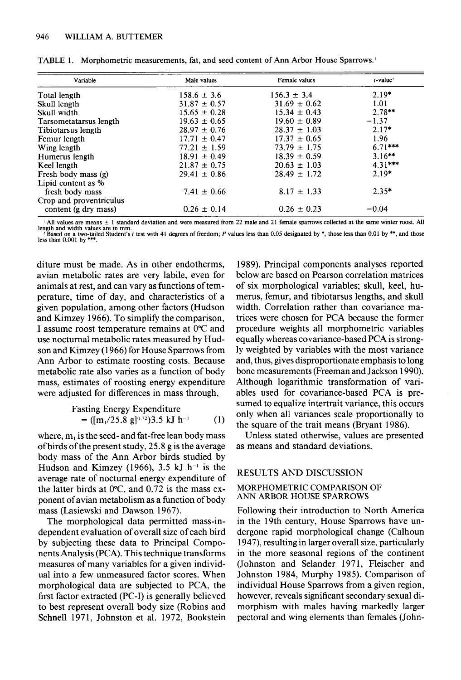| Variable                | Male values      | Female values    | $t$ value <sup>2</sup> |
|-------------------------|------------------|------------------|------------------------|
| Total length            | $158.6 \pm 3.6$  | $156.3 \pm 3.4$  | $2.19*$                |
| Skull length            | $31.87 \pm 0.57$ | $31.69 \pm 0.62$ | 1.01                   |
| Skull width             | $15.65 \pm 0.28$ | $15.34 \pm 0.43$ | $2.78**$               |
| Tarsometatarsus length  | $19.63 \pm 0.65$ | $19.60 \pm 0.89$ | $-1.37$                |
| Tibiotarsus length      | $28.97 \pm 0.76$ | $28.37 \pm 1.03$ | $2.17*$                |
| Femur length            | $17.71 \pm 0.47$ | $17.37 \pm 0.65$ | 1.96                   |
| Wing length             | $77.21 \pm 1.59$ | $73.79 \pm 1.75$ | $6.71***$              |
| Humerus length          | $18.91 \pm 0.49$ | $18.39 \pm 0.59$ | $3.16***$              |
| Keel length             | $21.87 \pm 0.75$ | $20.63 \pm 1.03$ | $4.31***$              |
| Fresh body mass (g)     | $29.41 \pm 0.86$ | $28.49 \pm 1.72$ | $2.19*$                |
| Lipid content as %      |                  |                  |                        |
| fresh body mass         | $7.41 \pm 0.66$  | $8.17 \pm 1.33$  | $2.35*$                |
| Crop and proventriculus |                  |                  |                        |
| content (g dry mass)    | $0.26 \pm 0.14$  | $0.26 \pm 0.23$  | $-0.04$                |

| TABLE 1. Morphometric measurements, fat, and seed content of Ann Arbor House Sparrows. |  |
|----------------------------------------------------------------------------------------|--|
|----------------------------------------------------------------------------------------|--|

 $\pm$  All values are means  $\pm$  1 standard deviation and were measured from 22 male and 21 female sparrows collected at the same winter roost. All length and width values are in mm.<br>• Based on a two-tailed Student's t test with 41 degrees of freedom; P values less than 0.05 designated by \*, those less than 0.01 by \*\*, and those<br>less than 0.001 by \*\*\*.

**diture must be made. As in other endotherms, avian metabolic rates are very labile, even for animals at rest, and can vary as functions of temperature, time of day, and characteristics of a given population, among other factors (Hudson and Kimzey 1966). To simplify the comparison, I assume roost temperature remains at 0°C and use nocturnal metabolic rates measured by Hudson and Kimzey (1966) for House Sparrows from Ann Arbor to estimate roosting costs. Because metabolic rate also varies as a function of body mass, estimates of roosting energy expenditure were adjusted for differences in mass through,** 

Fasting Energy Expenditure  
= 
$$
([m_1/25.8 \text{ g}]^{0.72})3.5 \text{ kJ} \text{ h}^{-1}
$$
 (1)

**where, m, is the seed- and fat-free lean body mass ofbirds of the present study, 25.8 g is the average body mass of the Ann Arbor birds studied by**  Hudson and Kimzey (1966),  $3.5$  kJ h<sup>-1</sup> is the **average rate of nocturnal energy expenditure of the latter birds at O"C, and 0.72 is the mass exponent of avian metabolism as a function of body mass (Lasiewski and Dawson 1967).** 

**The morphological data permitted mass-independent evaluation of overall size of each bird by subjecting these data to Principal Components Analysis (PCA). This technique transforms measures of many variables for a given individual into a few unmeasured factor scores. When morphological data are subjected to PCA, the first factor extracted (PC-I) is generally believed to best represent overall body size (Robins and**  Schnell 1971, Johnston et al. 1972, Bookstein

**1989). Principal components analyses reported below are based on Pearson correlation matrices of six morphological variables; skull, keel, humerus, femur, and tibiotarsus lengths, and skull width. Correlation rather than covariance matrices were chosen for PCA because the former procedure weights all morphometric variables equally whereas covariance-based PCA is strongly weighted by variables with the most variance and, thus, gives disproportionate emphasis to long bone measurements (Freeman and Jackson 1990). Although logarithmic transformation of variables used for covariance-based PCA is presumed to equalize intertrait variance, this occurs only when all variances scale proportionally to the square of the trait means (Bryant 1986).** 

**Unless stated otherwise, values are presented as means and standard deviations.** 

### **RESULTS AND DISCUSSION**

#### **MORPHOMETRIC COMPARISON OF ANN ARBOR HOUSE SPARROWS**

**Following their introduction to North America in the 19th century, House Sparrows have undergone rapid morphological change (Calhoun 1947), resulting in larger overall size, particularly in the more seasonal regions of the continent (Johnston and Selander 197 1, Fleischer and Johnston 1984, Murphy 1985). Comparison of individual House Sparrows from a given region, however, reveals significant secondary sexual dimorphism with males having markedly larger pectoral and wing elements than females (John-**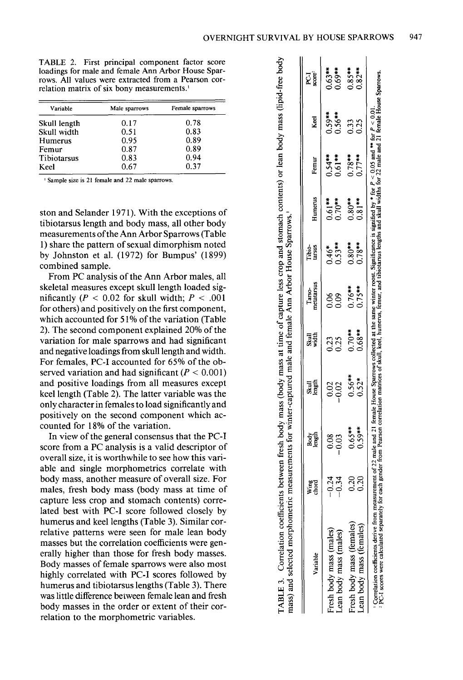| TABLE 2. First principal component factor score        |
|--------------------------------------------------------|
| loadings for male and female Ann Arbor House Spar-     |
| rows. All values were extracted from a Pearson cor-    |
| relation matrix of six bony measurements. <sup>1</sup> |

| Variable     | Male sparrows | Female sparrows |
|--------------|---------------|-----------------|
| Skull length | 0.17          | 0.78            |
| Skull width  | 0.51          | 0.83            |
| Humerus      | 0.95          | 0.89            |
| Femur        | 0.87          | 0.89            |
| Tibiotarsus  | 0.83          | 0.94            |
| Keel         | 0.67          | 0.37            |

**' Sample size is 21 female and 22 male sparrows.** 

**ston and Selander 197 1). With the exceptions of tibiotarsus length and body mass, all other body measurements ofthe Ann Arbor Sparrows (Table 1) share the pattern of sexual dimorphism noted by Johnston et al. (1972) for Bumpus' (1899) combined sample.** 

**From PC analysis of the Ann Arbor males, all skeletal measures except skull length loaded significantly** ( $P < 0.02$  for skull width;  $P < .001$ **for others) and positively on the first component, which accounted for 5 1% of the variation (Table 2). The second component explained 20% of the variation for male sparrows and had significant and negative loadings from skull length and width. For females, PC-I accounted for 65% of the ob**served variation and had significant  $(P < 0.001)$ **and positive loadings from all measures except keel length (Table 2). The latter variable was the only character in females to load significantly and positively on the second component which accounted for 18% of the variation.** 

**In view of the general consensus that the PC-I score from a PC analysis is a valid descriptor of overall size, it is worthwhile to see how this variable and single morphometrics correlate with body mass, another measure of overall size. For males, fresh body mass (body mass at time of capture less crop and stomach contents) correlated best with PC-I score followed closely by humerus and keel lengths (Table 3). Similar correlative patterns were seen for male lean body masses but the correlation coefficients were generally higher than those for fresh body masses. Body masses of female sparrows were also most highly correlated with PC-I scores followed by humerus and tibiotarsus lengths (Table 3). There was little difference between female lean and fresh body masses in the order or extent of their correlation to the morphometric variables.** 

| mass) and selected morphometric<br>Variable                                                                                                                                                                                         | Wing<br>chord                            | measurements for winter-captured male and female Ann Arbor House Sparrows.<br>Bogh<br>Length | Skull<br>Iength     | Skull<br>width         | Tarso-<br>metatarsus   | Tibio-<br>tarsus              | Humerus                | Femur                  | Keel                   | E<br>Sgr  |
|-------------------------------------------------------------------------------------------------------------------------------------------------------------------------------------------------------------------------------------|------------------------------------------|----------------------------------------------------------------------------------------------|---------------------|------------------------|------------------------|-------------------------------|------------------------|------------------------|------------------------|-----------|
| Fresh body mass (males)<br>Lean body mass (males)                                                                                                                                                                                   | $\begin{array}{c} 24 \\ 0.9 \end{array}$ | ess<br>000                                                                                   | 88<br>0.02          | 0.25<br>0.25           | 88<br>0.0              | $0.46$ <sup>*</sup><br>0.53** | $0.61***$<br>$0.70***$ | $0.54***$<br>$0.61***$ | $0.59***$<br>$0.56***$ | $0.63***$ |
| Fresh body mass (females)<br>ean body mass (females)                                                                                                                                                                                | 0.20<br>0.20                             | $0.65***$                                                                                    | $0.56**$<br>$0.52*$ | $0.70***$<br>$0.68***$ | $0.76***$<br>$0.75***$ | $0.80***$<br>$0.78***$        | $0.80***$<br>$0.81**$  | $0.78$ **<br>$0.77***$ | 0.33<br>0.25           | $0.85**$  |
| Correlation coefficients derive from measurement of 22 male and 21 female House Sparrows collected at the same winter roost. Significance is signified by * for $P < 0.05$ and ** for $P < 0.01$ .<br>PC-I scores were calculated s |                                          |                                                                                              |                     |                        |                        |                               |                        |                        |                        |           |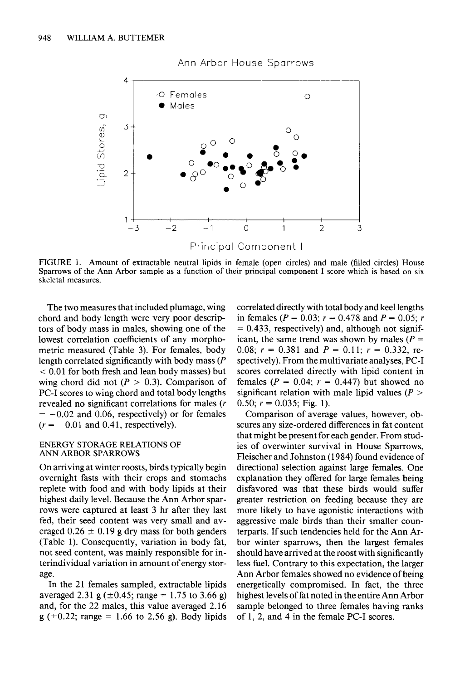

# **Ann Arbor House Sparrows**

**FIGURE 1. Amount of extractable neutral lipids in female (open circles) and male (filled circles) House Sparrows of the Ann Arbor sample as a function of their principal component I score which is based on six**  $\frac{1}{x}$ **skeletal measures.** 

**The two measures that included plumage, wing chord and body length were very poor descriptors of body mass in males, showing one of the lowest correlation coefficients of any morphometric measured (Table 3). For females, body length correlated significantly with body mass (P < 0.0 1 for both fresh and lean body masses) but**  wing chord did not  $(P > 0.3)$ . Comparison of **PC-I scores to wing chord and total body lengths revealed no significant correlations for males (r**   $= -0.02$  and 0.06, respectively) or for females  $(r = -0.01$  and 0.41, respectively).

#### **ENERGY STORAGE RELATIONS OF ANN ARBOR SPARROWS**

**On arriving at winter roosts, birds typically begin overnight fasts with their crops and stomachs replete with food and with body lipids at their highest daily level. Because the Ann Arbor sparrows were captured at least 3 hr after they last fed, their seed content was very small and av**eraged  $0.26 \pm 0.19$  g dry mass for both genders **(Table 1). Consequently, variation in body fat, not seed content, was mainly responsible for interindividual variation in amount of energy storage.** 

**In the 21 females sampled, extractable lipids**  averaged 2.31 g  $(\pm 0.45; \text{range} = 1.75 \text{ to } 3.66 \text{ g})$ **and, for the 22 males, this value averaged 2.16 g (kO.22; range = 1.66 to 2.56 g). Body lipids**  **correlated directly with total body and keel lengths**  in females ( $P = 0.03$ ;  $r = 0.478$  and  $P = 0.05$ ; r **= 0.433, respectively) and, although not signif**icant, the same trend was shown by males ( $P =$ 0.08;  $r = 0.381$  and  $P = 0.11$ ;  $r = 0.332$ , re**spectively). From the multivariate analyses, PC-I scores correlated directly with lipid content in females (P = 0.04; r = 0.447) but showed no significant relation with male lipid values (P >**  0.50;  $r = 0.035$ ; Fig. 1).

**Comparison of average values, however, obscures any size-ordered differences in fat content that might be present for each gender. From studies of overwinter survival in House Sparrows, Fleischer and Johnston (1984) found evidence of directional selection against large females. One explanation they offered for large females being disfavored was that these birds would suffer greater restriction on feeding because they are more likely to have agonistic interactions with aggressive male birds than their smaller counterparts. If such tendencies held for the Ann Arbor winter sparrows, then the largest females should have arrived at the roost with significantly less fuel. Contrary to this expectation, the larger Ann Arbor females showed no evidence of being energetically compromised. In fact, the three highest levels of fat noted in the entire Ann Arbor sample belonged to three females having ranks of 1, 2, and 4 in the female PC-I scores.**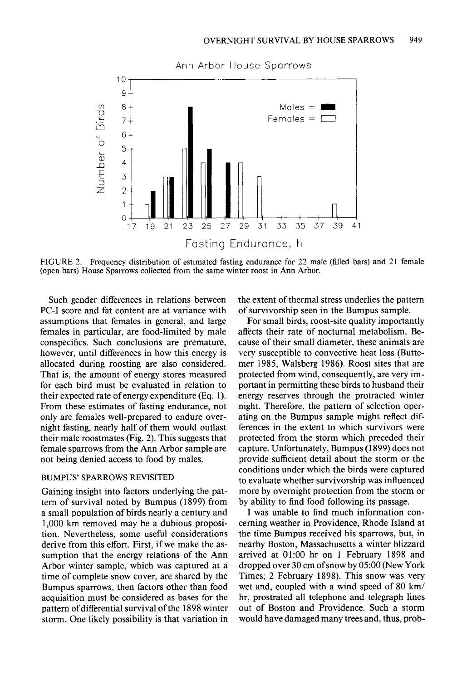

**FIGURE 2. Frequency distribution of estimated fasting endurance for 22 male (filled bars) and 21 female (open bars) House Sparrows collected from the same winter roost in Ann Arbor.** 

**Such gender differences in relations between PC-I score and fat content are at variance with assumptions that females in general, and large females in particular, are food-limited by male conspecifics. Such conclusions are premature, however, until differences in how this energy is allocated during roosting are also considered. That is, the amount of energy stores measured for each bird must be evaluated in relation to their expected rate of energy expenditure (Eq. 1). From these estimates of fasting endurance, not only are females well-prepared to endure overnight fasting, nearly half of them would outlast their male roostmates (Fig. 2). This suggests that female sparrows from the Ann Arbor sample are not being denied access to food by males.** 

#### **BUMPUS' SPARROWS REVISITED**

**Gaining insight into factors underlying the pattern of survival noted by Bumpus (1899) from a small population of birds nearly a century and 1,000 km removed may be a dubious proposition. Nevertheless, some useful considerations derive from this effort. First, if we make the assumption that the energy relations of the Ann Arbor winter sample, which was captured at a time of complete snow cover, are shared by the Bumpus sparrows, then factors other than food acquisition must be considered as bases for the pattern of differential survival of the 1898 winter storm. One likely possibility is that variation in**  **the extent of thermal stress underlies the pattern of survivorship seen in the Bumpus sample.** 

**For small birds, roost-site quality importantly affects their rate of nocturnal metabolism. Because of their small diameter, these animals are very susceptible to convective heat loss (Buttemer 1985, Walsberg 1986). Roost sites that are protected from wind, consequently, are very important in permitting these birds to husband their energy reserves through the protracted winter night. Therefore, the pattern of selection operating on the Bumpus sample might reflect differences in the extent to which survivors were protected from the storm which preceded their capture. Unfortunately, Bumpus (1899) does not provide sufficient detail about the storm or the conditions under which the birds were captured to evaluate whether survivorship was influenced more by overnight protection from the storm or by ability to find food following its passage.** 

**I was unable to find much information concerning weather in Providence, Rhode Island at the time Bumpus received his sparrows, but, in nearby Boston, Massachusetts a winter blizzard arrived at 01:OO hr on 1 February 1898 and dropped over 30 cm ofsnow by 05:OO (New York Times; 2 February 1898). This snow was very wet and, coupled with a wind speed of 80 km/ hr, prostrated all telephone and telegraph lines out of Boston and Providence. Such a storm would have damaged many trees and, thus, prob-**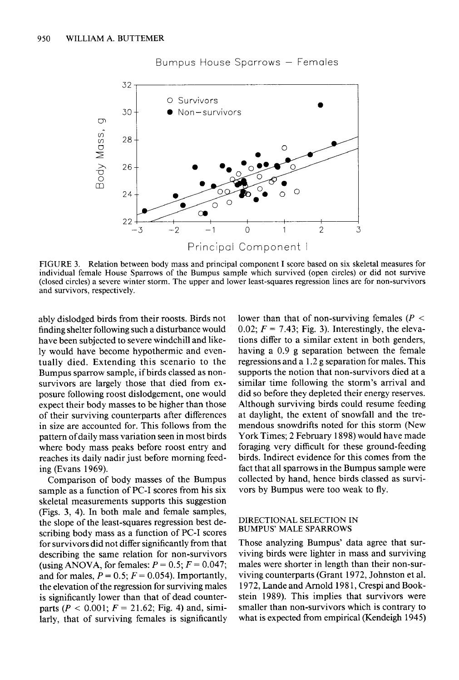

## **Bumpus House Sparrows - Females**

**FIGURE 3. Relation between body mass and principal component I score based on six skeletal measures for individual female House Sparrows of the Bumpus sample which survived (open circles) or did not survive (closed circles) a severe winter storm. The upper and lower least-squares regression lines are for non-survivors and survivors, respectively.** 

**ably dislodged birds from their roosts. Birds not finding shelter following such a disturbance would have been subjected to severe windchill and likely would have become hypothermic and eventually died. Extending this scenario to the Bumpus sparrow sample, if birds classed as nonsurvivors are largely those that died from exposure following roost dislodgement, one would expect their body masses to be higher than those of their surviving counterparts after differences in size are accounted for. This follows from the pattern of daily mass variation seen in most birds where body mass peaks before roost entry and reaches its daily nadir just before morning feeding (Evans 1969).** 

**Comparison of body masses of the Bumpus sample as a function of PC-I scores from his six skeletal measurements supports this suggestion (Figs. 3, 4). In both male and female samples, the slope of the least-squares regression best describing body mass as a function of PC-I scores for survivors did not differ significantly from that describing the same relation for non-survivors**  (using ANOVA, for females:  $P = 0.5$ ;  $F = 0.047$ ; and for males,  $P = 0.5$ ;  $F = 0.054$ ). Importantly, **the elevation of the regression for surviving males is significantly lower than that of dead counter**parts ( $P < 0.001$ ;  $F = 21.62$ ; Fig. 4) and, simi**larly, that of surviving females is significantly**  lower than that of non-surviving females  $(P \leq$ 0.02;  $F = 7.43$ ; Fig. 3). Interestingly, the eleva**tions differ to a similar extent in both genders, having a 0.9 g separation between the female regressions and a 1.2 g separation for males. This supports the notion that non-survivors died at a similar time following the storm's arrival and did so before they depleted their energy reserves. Although surviving birds could resume feeding at daylight, the extent of snowfall and the tremendous snowdrifts noted for this storm (New York Times; 2 February 1898) would have made foraging very difficult for these ground-feeding birds. Indirect evidence for this comes from the fact that all sparrows in the Bumpus sample were collected by hand, hence birds classed as survivors by Bumpus were too weak to fly.** 

#### **DIRECTIONAL SELECTION IN BUMPUS' MALE SPARROWS**

**Those analyzing Bumpus' data agree that surviving birds were lighter in mass and surviving males were shorter in length than their non-surviving counterparts (Grant 1972, Johnston et al. 1972, Lande and Arnold 198 1, Crespi and Bookstein 1989). This implies that survivors were smaller than non-survivors which is contrary to what is expected from empirical (Kendeigb 1945)**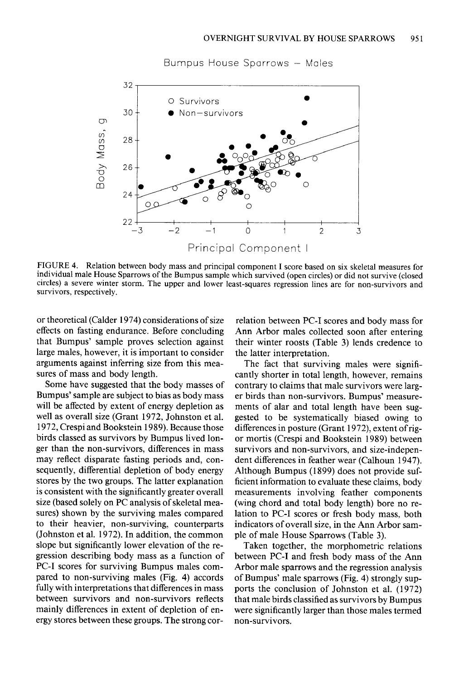

**Bumpus House Sparrows - Males** 

**FIGURE 4. Relation between body mass and principal component I score based on six skeletal measures for individual male House Sparrows of the Bumpus sample which survived (open circles) or did not survive (closed**  circles) a severe winter storm. The upper and lower least-squares regression lines are for non-survivors and **survivors, respectively.** 

**or theoretical (Calder 1974) considerations of size effects on fasting endurance. Before concluding that Bumpus' sample proves selection against large males, however, it is important to consider arguments against inferring size from this measures of mass and body length.** 

**Some have suggested that the body masses of Bumpus' sample are subject to bias as body mass will be affected by extent of energy depletion as well as overall size (Grant 1972, Johnston et al. 1972, Crespi and Bookstein 1989). Because those birds classed as survivors by Bumpus lived longer than the non-survivors, differences in mass may reflect disparate fasting periods and, consequently, differential depletion of body energy stores by the two groups. The latter explanation is consistent with the significantly greater overall size (based solely on PC analysis of skeletal measures) shown by the surviving males compared to their heavier, non-surviving, counterparts (Johnston et al. 1972). In addition, the common slope but significantly lower elevation of the regression describing body mass as a function of PC-I scores for surviving Bumpus males compared to non-surviving males (Fig. 4) accords fully with interpretations that differences in mass between survivors and non-survivors reflects mainly differences in extent of depletion of energy stores between these groups. The strong cor-** **relation between PC-I scores and body mass for Ann Arbor males collected soon after entering their winter roosts (Table 3) lends credence to the latter interpretation.** 

**The fact that surviving males were significantly shorter in total length, however, remains contrary to claims that male survivors were larger birds than non-survivors. Bumpus' measurements of alar and total length have been suggested to be systematically biased owing to**  differences in posture (Grant 1972), extent of rig**or mortis (Crespi and Bookstein 1989) between survivors and non-survivors, and size-independent differences in feather wear (Calhoun 1947). Although Bumpus (1899) does not provide sufficient information to evaluate these claims, body measurements involving feather components (wing chord and total body length) bore no relation to PC-I scores or fresh body mass, both indicators of overall size, in the Ann Arbor sample of male House Sparrows (Table 3).** 

**Taken together, the morphometric relations between PC-I and fresh body mass of the Ann Arbor male sparrows and the regression analysis of Bumpus' male sparrows (Fig. 4) strongly supports the conclusion of Johnston et al. (1972) that male birds classified as survivors by Bumpus were significantly larger than those males termed non-survivors.**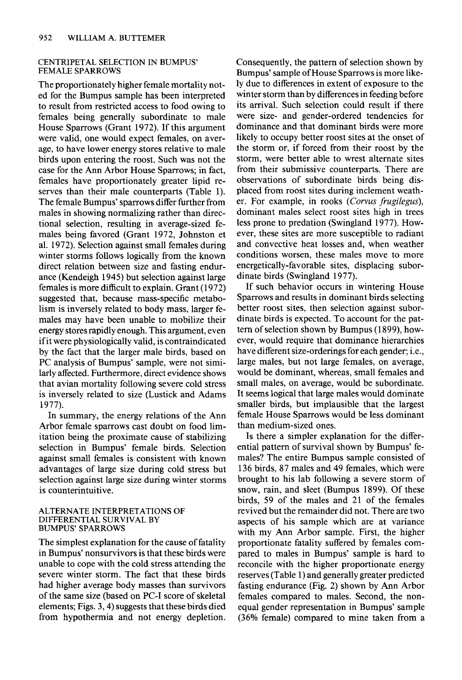#### **CENTRIPETAL SELECTION IN BUMPUS' FEMALE SPARROWS**

**The proportionately higher female mortality noted for the Bumpus sample has been interpreted to result from restricted access to food owing to females being generally subordinate to male House Sparrows (Grant 1972). If this argument were valid, one would expect females, on average, to have lower energy stores relative to male birds upon entering the roost. Such was not the case for the Ann Arbor House Sparrows; in fact, females have proportionately greater lipid reserves than their male counterparts (Table 1). The female Bumpus' sparrows differ further from males in showing normalizing rather than directional selection, resulting in average-sized females being favored (Grant 1972, Johnston et al. 1972). Selection against small females during winter storms follows logically from the known direct relation between size and fasting endurance (Kendeigh 1945) but selection against large females is more difficult to explain. Grant (1972) suggested that, because mass-specific metabolism is inversely related to body mass, larger females may have been unable to mobilize their energy stores rapidly enough. This argument, even if it were physiologically valid, is contraindicated by the fact that the larger male birds, based on PC analysis of Bumpus' sample, were not similarly affected. Furthermore, direct evidence shows that avian mortality following severe cold stress is inversely related to size (Lustick and Adams 1977).** 

**In summary, the energy relations of the Ann Arbor female sparrows cast doubt on food limitation being the proximate cause of stabilizing selection in Bumpus' female birds. Selection against small females is consistent with known advantages of large size during cold stress but selection against large size during winter storms is counterintuitive.** 

#### **ALTERNATE INTERPRETATIONS OF DIFFERENTIAL SURVIVAL BY BUMPUS' SPARROWS**

**The simplest explanation for the cause of fatality in Bumpus' nonsurvivors is that these birds were unable to cope with the cold stress attending the severe winter storm. The fact that these birds had higher average body masses than survivors of the same size (based on PC-I score of skeletal elements; Figs. 3,4) suggests that these birds died from hypothermia and not energy depletion.**  **Consequently, the pattern of selection shown by Bumpus' sample of House Sparrows is more likely due to differences in extent of exposure to the winter storm than by differences in feeding before its arrival. Such selection could result if there were size- and gender-ordered tendencies for dominance and that dominant birds were more likely to occupy better roost sites at the onset of the storm or, if forced from their roost by the storm, were better able to wrest alternate sites from their submissive counterparts. There are observations of subordinate birds being displaced from roost sites during inclement weather. For example, in rooks (Corvus frugilegus), dominant males select roost sites high in trees less prone to predation (Swingland 1977). However, these sites are more susceptible to radiant and convective heat losses and, when weather conditions worsen, these males move to more energetically-favorable sites, displacing subordinate birds (Swingland 1977).** 

**If such behavior occurs in wintering House Sparrows and results in dominant birds selecting better roost sites, then selection against subordinate birds is expected. To account for the pat**tern of selection shown by Bumpus (1899), how**ever, would require that dominance hierarchies have different size-orderings for each gender; i.e., large males, but not large females, on average, would be dominant, whereas, small females and small males, on average, would be subordinate. It seems logical that large males would dominate smaller birds, but implausible that the largest female House Sparrows would be less dominant than medium-sized ones.** 

**Is there a simpler explanation for the differential pattern of survival shown by Bumpus' females? The entire Bumpus sample consisted of 136 birds, 87 males and 49 females, which were brought to his lab following a severe storm of snow, rain, and sleet (Bumpus 1899). Of these birds, 59 of the males and 21 of the females revived but the remainder did not. There are two aspects of his sample which are at variance with my Ann Arbor sample. First, the higher proportionate fatality suffered by females compared to males in Bumpus' sample is hard to reconcile with the higher proportionate energy reserves (Table 1) and generally greater predicted fasting endurance (Fig. 2) shown by Ann Arbor females compared to males. Second, the nonequal gender representation in Bumpus' sample (36% female) compared to mine taken from a**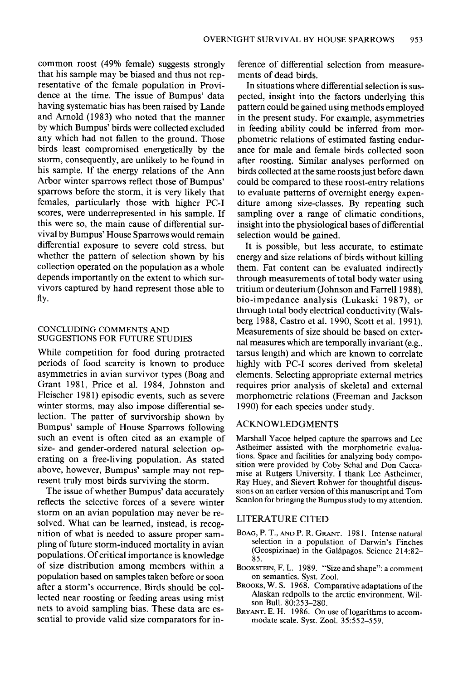**common roost (49% female) suggests strongly that his sample may be biased and thus not representative of the female population in Providence at the time. The issue of Bumpus' data having systematic bias has been raised by Lande and Arnold (1983) who noted that the manner by which Bumpus' birds were collected excluded any which had not fallen to the ground. Those birds least compromised energetically by the storm, consequently, are unlikely to be found in his sample. If the energy relations of the Ann Arbor winter sparrows reflect those of Bumpus' sparrows before the storm, it is very likely that females, particularly those with higher PC-I scores, were underrepresented in his sample. If this were so, the main cause of differential survival by Bumpus' House Sparrows would remain differential exposure to severe cold stress, but whether the pattern of selection shown by his collection operated on the population as a whole depends importantly on the extent to which survivors captured by hand represent those able to fly.** 

## **CONCLUDING COMMENTS AND SUGGESTIONS FOR FUTURE STUDIES**

**While competition for food during protracted periods of food scarcity is known to produce asymmetries in avian survivor types (Boag and Grant 1981, Price et al. 1984, Johnston and Fleischer 1981) episodic events, such as severe winter storms, may also impose differential selection. The patter of survivorship shown by Bumpus' sample of House Sparrows following such an event is often cited as an example of size- and gender-ordered natural selection operating on a free-living population. As stated above, however, Bumpus' sample may not represent truly most birds surviving the storm.** 

**The issue of whether Bumpus' data accurately reflects the selective forces of a severe winter storm on an avian population may never be resolved. What can be learned, instead, is recognition of what is needed to assure proper sampling of future storm-induced mortality in avian populations. Of critical importance is knowledge of size distribution among members within a population based on samples taken before or soon after a storm's occurrence. Birds should be collected near roosting or feeding areas using mist nets to avoid sampling bias. These data are essential to provide valid size comparators for in-**

**ference of differential selection from measurements of dead birds.** 

**In situations where differential selection is suspected, insight into the factors underlying this pattern could be gained using methods employed in the present study. For example, asymmetries in feeding ability could be inferred from morphometric relations of estimated fasting endurance for male and female birds collected soon after roosting. Similar analyses performed on birds collected at the same roosts just before dawn could be compared to these roost-entry relations to evaluate patterns of overnight energy expenditure among size-classes. By repeating such sampling over a range of climatic conditions, insight into the physiological bases of differential selection would be gained.** 

**It is possible, but less accurate, to estimate energy and size relations of birds without killing them. Fat content can be evaluated indirectly through measurements of total body water using tritium or deuterium (Johnson and Farrell 1988), bio-impedance analysis (Lukaski 1987), or through total body electrical conductivity (Walsberg 1988, Castro et al. 1990, Scott et al. 199 1). Measurements of size should be based on external measures which are temporally invariant (e.g., tarsus length) and which are known to correlate highly with PC-I scores derived from skeletal elements. Selecting appropriate external metrics requires prior analysis of skeletal and external morphometric relations (Freeman and Jackson 1990) for each species under study.** 

#### **ACKNOWLEDGMENTS**

**Marshall Yacoe helped capture the sparrows and Lee Astheimer assisted with the morphometric evaluations. Space and facilities for analyzing body composition were provided by Coby Schal and Don Caccamise at Rutgers University. I thank Lee Astheimer, Ray Huey, and Sievert Rohwer for thoughtful discussions on an earlier version of this manuscript and Tom Scanlon for bringing the Bumpus study to my attention.** 

## **LITERATURE CITED**

- **BOAG, P. T., AND P. R. GRANT. 198 1. Intense natural selection in a population of Darwin's Finches (Geospizinae) in the Gal6pagos. Science 214:82- 85.**
- **BOOKSTEIN, F.L. 1989. "Size and shape": a comment on semantics. Syst. Zool.**
- BROOKS, W. S. 1968. Comparative adaptations of the **Alaskan redpolls to the arctic environment. Wilson Bull. 80:253-280.**
- **BRYANT, E. H. 1986. On use of logarithms to accommodate scale. Syst. Zool. 35:552-559.**